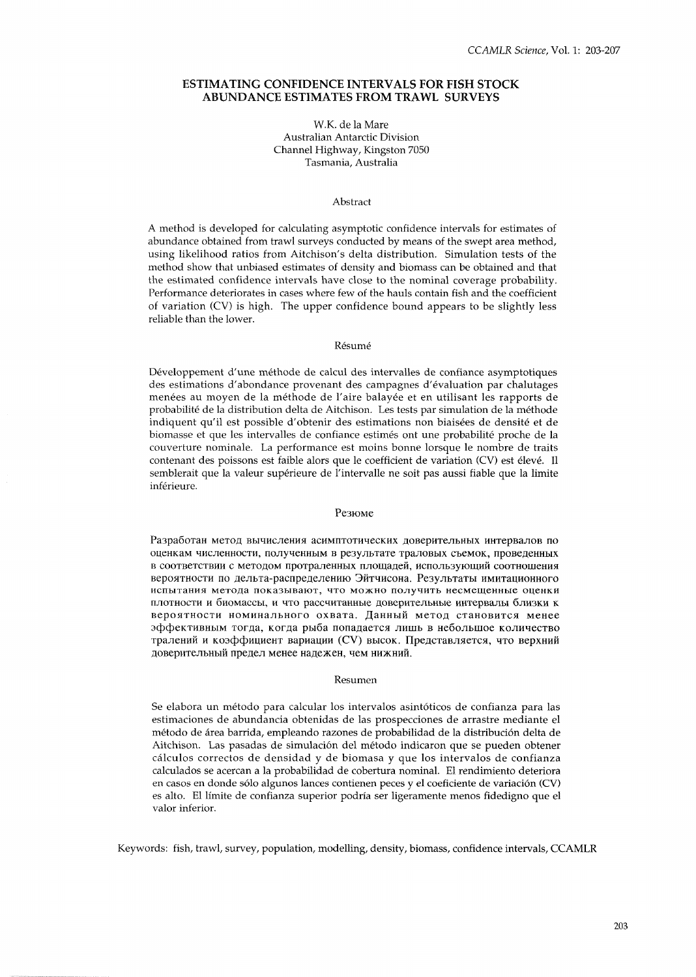## **ESTIMATING CONFIDENCE INTERVALS FOR FISH STOCK ABUNDANCE ESTIMATES FROM TRAWL SURVEYS**

## W.K. de la Mare Australian Antarctic Division Channel Highway, Kingston 7050 Tasmania, Australia

#### Abstract

A method is developed for calculating asymptotic confidence intervals for estimates of abundance obtained from trawl surveys conducted by means of the swept area method, using likelihood ratios from Aitchison's delta distribution. Simulation tests of the method show that unbiased estimates of density and biomass can be obtained and that the estimated confidence intervals have close to the nominal coverage probability. Performance deteriorates in cases where few of the hauls contain fish and the coefficient of variation (CV) is high. The upper confidence bound appears to be slightly less reliable than the lower.

#### Résumé

Développement d'une méthode de calcul des intervalles de confiance asymptotiques des estimations d'abondance provenant des campagnes d'evaluation par chalutages menées au moyen de la méthode de l'aire balayée et en utilisant les rapports de probabilite de la distribution delta de Aitchison. Les tests par simulation de la methode indiquent qu'il est possible d'obtenir des estimations non biaisées de densité et de biomasse et que les intervalles de confiance estimes ont une probabilite proche de la couverture nominale. La performance est moins bonne lorsque le nombre de traits contenant des poissons est faible alors que le coefficient de variation (CV) est élevé. Il semblerait que la valeur supérieure de l'intervalle ne soit pas aussi fiable que la limite inférieure.

### Резюме

Разработан метод вычисления асимптотических доверительных интервалов по оценкам численности, полученным в результате траловых съемок, проведенных в соответствии с методом протраленных площадей, использующий соотношения вероятности по дельта-распределению Эйтчисона. Результаты имитационного испытания метода показывают, что можно получить несмещенные оценки плотности и биомассы, и что рассчитанные доверительные интервалы близки к вероятности номинального охвата. Данный метод становится менее эффективным тогда, когда рыба попадается лишь в небольшое количество тралений и коэффициент вариации (CV) высок. Представляется, что верхний доверительный предел менее надежен, чем нижний.

### Resumen

Se elabora un método para calcular los intervalos asintóticos de confianza para las estimaciones de abundancia obtenidas de las prospecciones de arrastre mediante el metodo de area barrida, empleando razones de probabilidad de la distribucion delta de Aitchison. Las pasadas de sirnulacion del metodo indicaron que se pueden obtener calculos correctos de densidad y de biomasa y que 10s intervalos de confianza calculados se acercan a la probabilidad de cobertura nominal. El rendimiento deteriora en casos en donde sólo algunos lances contienen peces y el coeficiente de variación (CV) es alto. El limite de confianza superior podria ser ligeramente menos fidedigno que el valor inferior.

Keywords: fish, trawl, survey, population, modelling, density, biomass, confidence intervals, CCAMLR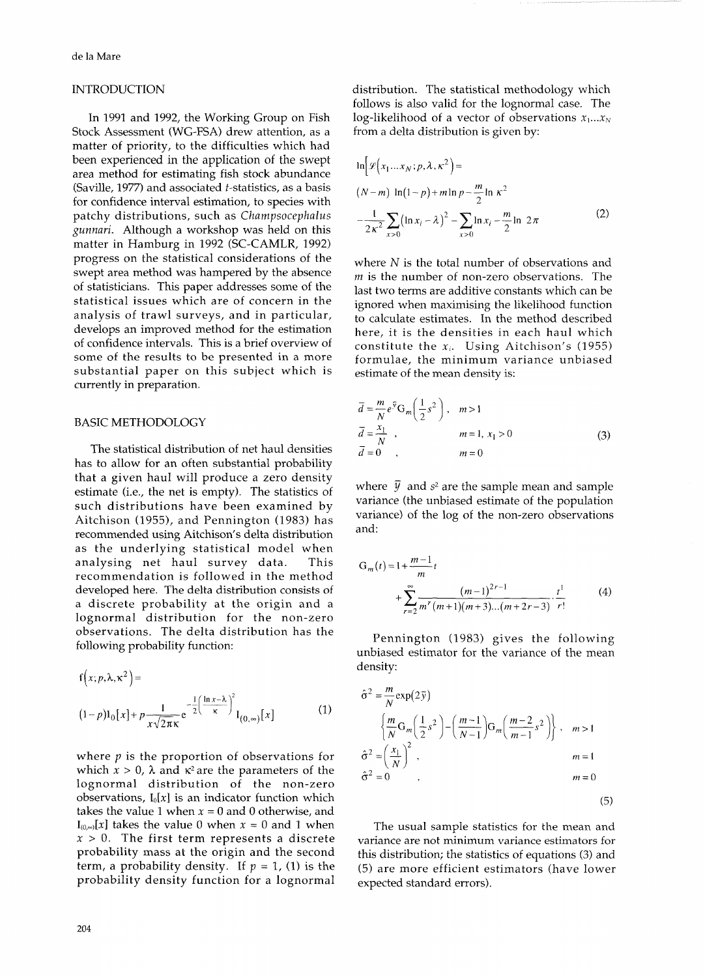## INTRODUCTION

In 1991 and 1992, the Working Group on Fish Stock Assessment (WG-FSA) drew attention, as a matter of priority, to the difficulties which had been experienced in the application of the swept area method for estimating fish stock abundance (Saville, 1977) and associated t-statistics, as a basis for confidence interval estimation, to species with patchy distributions, such as Champsocephalus gunnari. Although a workshop was held on this matter in Hamburg in 1992 (SC-CAMLR, 1992) progress on the statistical considerations of the swept area method was hampered by the absence of statisticians. This paper addresses some of the statistical issues which are of concern in the analysis of trawl surveys, and in particular, develops an improved method for the estimation of confidence intervals. This is a brief overview of some of the results to be presented in a more substantial paper on this subject which is currently in preparation.

# BASIC METHODOLOGY

The statistical distribution of net haul densities has to allow for an often substantial probability that a given haul will produce a zero density estimate (i.e., the net is empty). The statistics of such distributions have been examined by Aitchison (1955), and Pennington (1983) has recommended using Aitchison's delta distribution as the underlying statistical model when analysing net haul survey data. This recommendation is followed in the method developed here. The delta distribution consists of a discrete probability at the origin and a lognormal distribution for the non-zero observations. The delta distribution has the following probability function:

$$
f(x; p, \lambda, \kappa^2) =
$$
  

$$
(1-p)I_0[x] + p \frac{1}{x\sqrt{2\pi\kappa}} e^{-\frac{1}{2} \left(\frac{\ln x - \lambda}{\kappa}\right)^2} I_{(0,\infty)}[x]
$$
 (1)

where  $p$  is the proportion of observations for which  $x > 0$ ,  $\lambda$  and  $\kappa^2$  are the parameters of the lognormal distribution of the non-zero observations, **Io[x]** is an indicator function which takes the value 1 when  $x = 0$  and 0 otherwise, and  $I_{(0,0)}[x]$  takes the value 0 when  $x = 0$  and 1 when  $x > 0$ . The first term represents a discrete probability mass at the origin and the second term, a probability density. If  $p = 1$ , (1) is the probability density function for a lognormal distribution. The statistical methodology which follows is also valid for the lognormal case. The log-likelihood of a vector of observations  $x_1...x_N$ from a delta distribution is given by:

$$
\ln \left[ \mathcal{L} \left( x_1 \dots x_N; p, \lambda, \kappa^2 \right) \right] =
$$
\n
$$
(N-m) \ln (1-p) + m \ln p - \frac{m}{2} \ln \kappa^2
$$
\n
$$
- \frac{1}{2 \kappa^2} \sum_{x>0} \left( \ln x_i - \lambda \right)^2 - \sum_{x>0} \ln x_i - \frac{m}{2} \ln 2\pi
$$
\n(2)

where  $N$  is the total number of observations and  *is the number of non-zero observations. The* last two terms are additive constants which can be ignored when maximising the likelihood function to calculate estimates. In the method described here, it is the densities in each haul which constitute the **X,.** Using Aitchison's (1955) formulae, the minimum variance unbiased estimate of the mean density is:

$$
\overline{d} = \frac{m}{N} e^{\overline{y}} G_m \left(\frac{1}{2} s^2\right), \quad m > 1
$$
  
\n
$$
\overline{d} = \frac{x_1}{N}, \quad m = 1, x_1 > 0
$$
  
\n
$$
\overline{d} = 0, \quad m = 0
$$
\n(3)

where  $\bar{y}$  and  $s^2$  are the sample mean and sample variance (the unbiased estimate of the population variance) of the log of the non-zero observations and:

$$
G_m(t) = 1 + \frac{m-1}{m}t
$$
  
+ 
$$
\sum_{r=2}^{\infty} \frac{(m-1)^{2r-1}}{m^r(m+1)(m+3)...(m+2r-3)} \cdot \frac{t^1}{r!}
$$
 (4)

Pennington (1983) gives the following unbiased estimator for the variance of the mean density:

$$
\hat{\sigma}^{2} = \frac{m}{N} \exp(2\bar{y})
$$
\n
$$
\left\{ \frac{m}{N} G_m \left( \frac{1}{2} s^2 \right) - \left( \frac{m-1}{N-1} \right) G_m \left( \frac{m-2}{m-1} s^2 \right) \right\}, \quad m > 1
$$
\n
$$
\hat{\sigma}^{2} = \left( \frac{x_1}{N} \right)^2,
$$
\n
$$
\hat{\sigma}^{2} = 0
$$
\n
$$
\hat{\sigma}^{2} = 0
$$
\n(5)

The usual sample statistics for the mean and variance are not minimum variance estimators for this distribution; the statistics of equations (3) and (5) are more efficient estimators (have lower expected standard errors).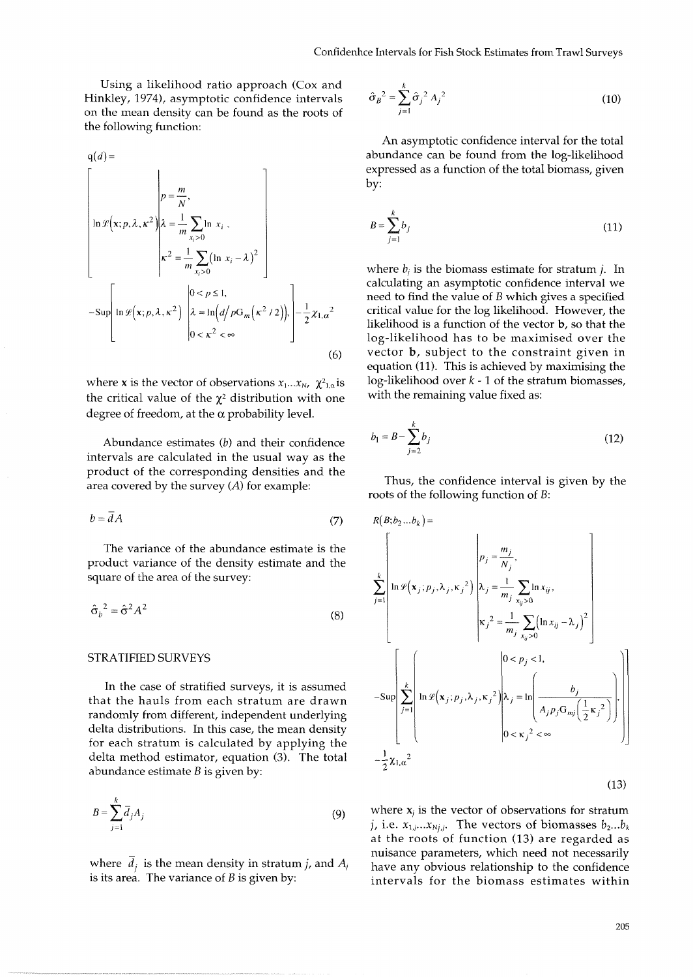Using a likelihood ratio approach (Cox and Hinkley, *1974),* asymptotic confidence intervals on the mean density can be found as the roots of the following function:

$$
q(d) = \left[\ln \mathcal{L}(\mathbf{x}; p, \lambda, \kappa^2) \middle| \lambda = \frac{m}{m} \sum_{x_i > 0} \ln x_i, \right]
$$
  
\n
$$
\left[ \ln \mathcal{L}(\mathbf{x}; p, \lambda, \kappa^2) \middle| \lambda = \frac{1}{m} \sum_{x_i > 0} (\ln x_i - \lambda)^2 \right]
$$
  
\n
$$
-\text{Sup}\left[\ln \mathcal{L}(\mathbf{x}; p, \lambda, \kappa^2) \middle| \lambda = \ln \left( \frac{d}{p} \cdot \frac{\log(\kappa^2 / 2)}{1 - \frac{1}{2} \cdot \lambda \cdot \kappa^2} \right) - \frac{1}{2} \cdot \frac{1}{2} \cdot \frac{\log(\kappa^2 / 2)}{1 - \frac{1}{2} \cdot \lambda \cdot \kappa^2} \right]
$$
  
\n(6)

where **x** is the vector of observations  $x_1...x_N$ ,  $\chi^2_{1,\alpha}$  is the critical value of the  $\chi^2$  distribution with one degree of freedom, at the  $\alpha$  probability level.

Abundance estimates (b) and their confidence intervals are calculated in the usual way as the product of the corresponding densities and the Framer of the corresponding actionize that the survey (A) for example: Thus, the confidence interval is given by the

$$
b = dA \tag{7}
$$

The variance of the abundance estimate is the product variance of the density estimate and the square of the area of the survey: *<sup>k</sup>*

$$
\hat{\sigma}_b^2 = \hat{\sigma}^2 A^2 \tag{8}
$$

### STRATIFIED SURVEYS

In the case of stratified surveys, it is assumed that the hauls from each stratum are drawn randomly from different, independent underlying delta distributions. In this case, the mean density for each stratum is calculated by applying the delta method estimator, equation *(3).* The total abundance estimate  $B$  is given by:

$$
B = \sum_{j=1}^{k} \overline{d}_j A_j \tag{9}
$$

where  $\overline{d}_i$  is the mean density in stratum *j*, and  $A_i$ is its area. The variance of  $B$  is given by:

$$
\hat{\sigma}_B^2 = \sum_{j=1}^k \hat{\sigma}_j^2 A_j^2
$$
 (10)

An asymptotic confidence interval for the total abundance can be found from the log-likelihood expressed as a function of the total biomass, given by:

$$
B = \sum_{j=1}^{k} b_j \tag{11}
$$

where  $b_i$  is the biomass estimate for stratum  $j$ . In calculating an asymptotic confidence interval we need to find the value of  $B$  which gives a specified critical value for the log likelihood. However, the likelihood is a function of the vector b, so that the log-likelihood has to be maximised over the vector b, subject to the constraint given in equation *(11).* This is achieved by maximising the log-likelihood over  $k - 1$  of the stratum biomasses, with the remaining value fixed as:

$$
b_1 = B - \sum_{j=2}^{k} b_j
$$
 (12)

roots of the following function of B:

$$
R(B;b_2...b_k) =
$$
\n
$$
\sum_{j=1}^{k} \ln \mathcal{L}(\mathbf{x}_j; p_j, \lambda_j, \kappa_j^2) \left| \lambda_j = \frac{m_j}{m_j} \sum_{x_{ij} > 0} \ln x_{ij}, \kappa_j^2 = \frac{1}{m_j} \sum_{x_{ij} > 0} (\ln x_{ij} - \lambda_j)^2 \right|
$$
\n
$$
-\text{Sup }\left[\sum_{j=1}^{k} \ln \mathcal{L}(\mathbf{x}_j; p_j, \lambda_j, \kappa_j^2) \middle| \lambda_j = \ln \left(\frac{b_j}{A_j p_j G_{mj} \left(\frac{1}{2} \kappa_j^2\right)}\right) \right]
$$
\n
$$
-\frac{1}{2} \chi_{1,\alpha}^2
$$
\n(13)

where  $\mathbf{x}_j$  is the vector of observations for stratum *j*, i.e.  $x_{1,j}$ ... $x_{Nj,j}$ . The vectors of biomasses  $b_2...b_k$ at the roots of function *(13)* are regarded as nuisance parameters, which need not necessarily have any obvious relationship to the confidence intervals for the biomass estimates within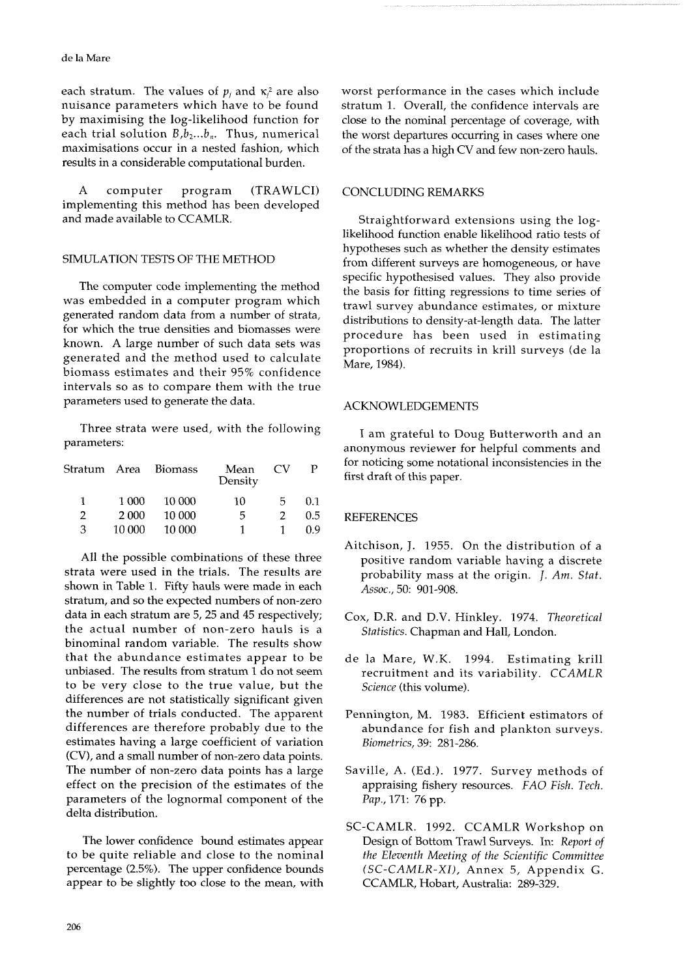each stratum. The values of  $p_j$  and  $\kappa_j^2$  are also worst performance in the cases which include nuisance parameters which have to be found stratum 1. Overall, the confidence intervals are nuisance parameters which have to be found<br>by maximising the log-likelihood function for by maximising the log-likelihood function for close to the nominal percentage of coverage, with each trial solution  $B, b_2...b_n$ . Thus, numerical the worst departures occurring in cases where one each trial solution  $B$ ,  $b_2...b_n$ . Thus, numerical the worst departures occurring in cases where one maximisations occur in a nested fashion, which of the strata has a high CV and few non-zero hauls. results in a considerable computational burden.

A computer program (TRAWLCI) implementing this method has been developed and made available to CCAMLR.

## SIMULATION TESTS OF THE METHOD

The computer code implementing the method was embedded in a computer program which generated random data from a number of strata, for which the true densities and biomasses were known. A large number of such data sets was generated and the method used to calculate biomass estimates and their 95% confidence intervals so as to compare them with the true parameters used to generate the data.

Three strata were used, with the following I am grateful to Doug Butterworth and an parameters:

| Stratum Area |        | <b>Biomass</b> | Mean<br>Density | CV. |     |
|--------------|--------|----------------|-----------------|-----|-----|
|              | 1 000  | 10 000         | 10              | 5.  | 0.1 |
| 2            | 2 000  | 10 000         | 5               |     | 0.5 |
| 3            | 10.000 | 10 000         |                 |     | 0.9 |

All the possible combinations of these three strata were used in the trials. The results are shown in Table 1. Fifty hauls were made in each stratum, and so the expected numbers of non-zero data in each stratum are 5,25 and 45 respectively; the actual number of non-zero hauls is a binominal random variable. The results show that the abundance estimates appear to be unbiased. The results from stratum 1 do not seem to be very close to the true value, but the differences are not statistically significant given the number of trials conducted. The apparent differences are therefore probably due to the estimates having a large coefficient of variation (CV), and a small number of non-zero data points. The number of non-zero data points has a large effect on the precision of the estimates of the parameters of the lognormal component of the delta distribution.

The lower confidence bound estimates appear to be quite reliable and close to the nominal percentage (2.5%). The upper confidence bounds appear to be slightly too close to the mean, with of the strata has a high CV and few non-zero hauls.

# CONCLUDING REMARKS

Straightforward extensions using the loglikelihood function enable likelihood ratio tests of hypotheses such as whether the density estimates from different surveys are homogeneous, or have specific hypothesised values. They also provide the basis for fitting regressions to time series of trawl survey abundance estimates, or mixture distributions to density-at-length data. The latter procedure has been used in estimating proportions of recruits in krill surveys (de la Mare, 1984).

## ACKNOWLEDGEMENTS

anonymous reviewer for helpful comments and for noticing some notational inconsistencies in the first draft of this paper.

## REFERENCES

- Aitchison, J. 1955. On the distribution of a positive random variable having a discrete probability mass at the origin. *J.* Am. Stat. Assoc., 50: 901-908.
- Cox, D.R. and D.V. Hinkley. 1974. Theoretical Statistics. Chapman and Hall, London.
- de la Mare, W.K. 1994. Estimating krill recruitment and its variability. CCAMLX Science (this volume).
- Pennington, M. 1983. Efficient estimators of abundance for fish and plankton surveys. Biometrics, 39: 281-286.
- Saville, A. (Ed.). 1977. Survey methods of appraising fishery resources. FAO Fish. Tech. Pap., 171: 76 pp.
- SC-CAMLR. 1992. CCAMLR Workshop on Design of Bottom Trawl Surveys. In: Report of the Eleventh Meeting of the Scientific Committee (SC-CAMLR-XI), Annex 5, Appendix G. CCAMLR, Hobart, Australia: 289-329.